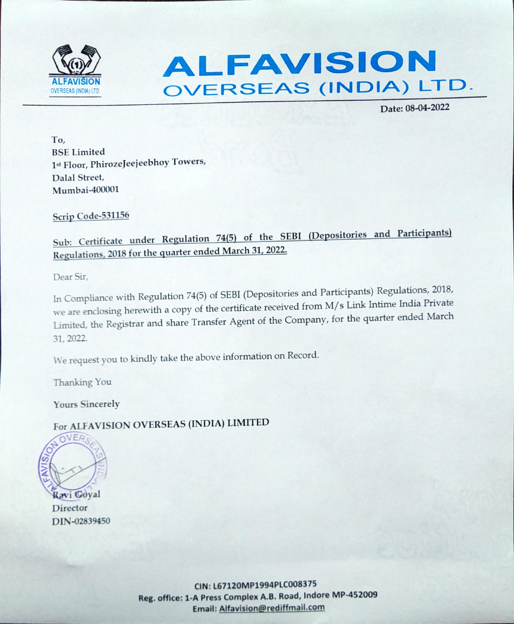



Date: 08-04-2022

To, **BSE Limited** 1st Floor, PhirozeJeejeebhoy Towers, Dalal Street, Mumbai-400001

Scrip Code-531156

Sub: Certificate under Regulation 74(5) of the SEBI (Depositories and Participants) Regulations, 2018 for the quarter ended March 31, 2022.

Dear Sir,

In Compliance with Regulation 74(5) of SEBI (Depositories and Participants) Regulations, 2018, we are enclosing herewith a copy of the certificate received from M/s Link Intime India Private Limited, the Registrar and share Transfer Agent of the Company, for the quarter ended March 31, 2022.

We request you to kindly take the above information on Record.

Thanking You

**Yours Sincerely** 

For ALFAVISION OVERSEAS (INDIA) LIMITED



Director DIN-02839450

> CIN: L67120MP1994PLC008375 Reg. office: 1-A Press Complex A.B. Road, Indore MP-452009 Email: Alfavision@rediffmail.com